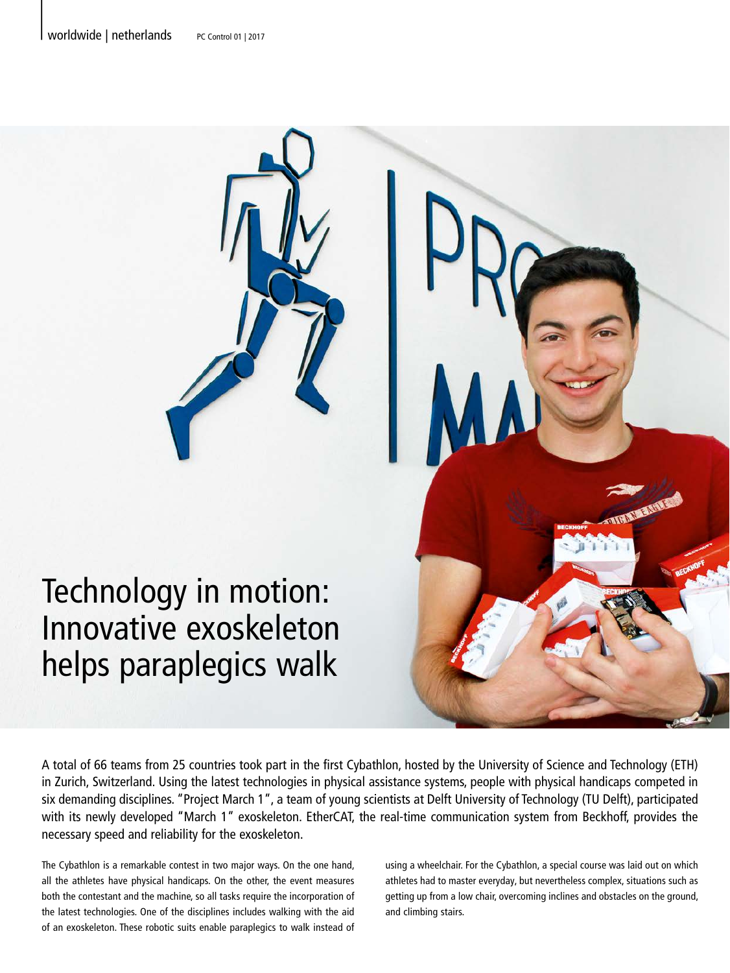

A total of 66 teams from 25 countries took part in the first Cybathlon, hosted by the University of Science and Technology (ETH) in Zurich, Switzerland. Using the latest technologies in physical assistance systems, people with physical handicaps competed in six demanding disciplines. "Project March 1", a team of young scientists at Delft University of Technology (TU Delft), participated with its newly developed "March 1" exoskeleton. EtherCAT, the real-time communication system from Beckhoff, provides the necessary speed and reliability for the exoskeleton.

The Cybathlon is a remarkable contest in two major ways. On the one hand, all the athletes have physical handicaps. On the other, the event measures both the contestant and the machine, so all tasks require the incorporation of the latest technologies. One of the disciplines includes walking with the aid of an exoskeleton. These robotic suits enable paraplegics to walk instead of

using a wheelchair. For the Cybathlon, a special course was laid out on which athletes had to master everyday, but nevertheless complex, situations such as getting up from a low chair, overcoming inclines and obstacles on the ground, and climbing stairs.